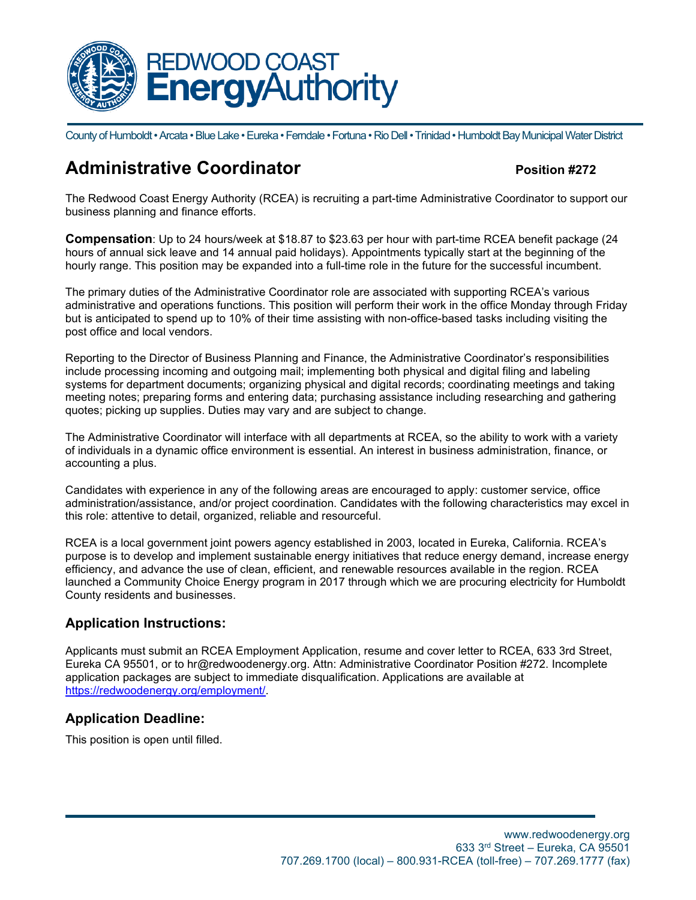

County of Humboldt • Arcata • Blue Lake • Eureka • Ferndale • Fortuna • Rio Dell • Trinidad • Humboldt Bay Municipal Water District

# **Administrative Coordinator Position #272**

The Redwood Coast Energy Authority (RCEA) is recruiting a part-time Administrative Coordinator to support our business planning and finance efforts.

**Compensation**: Up to 24 hours/week at \$18.87 to \$23.63 per hour with part-time RCEA benefit package (24 hours of annual sick leave and 14 annual paid holidays). Appointments typically start at the beginning of the hourly range. This position may be expanded into a full-time role in the future for the successful incumbent.

The primary duties of the Administrative Coordinator role are associated with supporting RCEA's various administrative and operations functions. This position will perform their work in the office Monday through Friday but is anticipated to spend up to 10% of their time assisting with non-office-based tasks including visiting the post office and local vendors.

Reporting to the Director of Business Planning and Finance, the Administrative Coordinator's responsibilities include processing incoming and outgoing mail; implementing both physical and digital filing and labeling systems for department documents; organizing physical and digital records; coordinating meetings and taking meeting notes; preparing forms and entering data; purchasing assistance including researching and gathering quotes; picking up supplies. Duties may vary and are subject to change.

The Administrative Coordinator will interface with all departments at RCEA, so the ability to work with a variety of individuals in a dynamic office environment is essential. An interest in business administration, finance, or accounting a plus.

Candidates with experience in any of the following areas are encouraged to apply: customer service, office administration/assistance, and/or project coordination. Candidates with the following characteristics may excel in this role: attentive to detail, organized, reliable and resourceful.

RCEA is a local government joint powers agency established in 2003, located in Eureka, California. RCEA's purpose is to develop and implement sustainable energy initiatives that reduce energy demand, increase energy efficiency, and advance the use of clean, efficient, and renewable resources available in the region. RCEA launched a Community Choice Energy program in 2017 through which we are procuring electricity for Humboldt County residents and businesses.

## **Application Instructions:**

Applicants must submit an RCEA Employment Application, resume and cover letter to RCEA, 633 3rd Street, Eureka CA 95501, or to hr@redwoodenergy.org. Attn: Administrative Coordinator Position #272. Incomplete application packages are subject to immediate disqualification. Applications are available at [https://redwoodenergy.org/employment/.](https://redwoodenergy.org/employment/)

## **Application Deadline:**

This position is open until filled.